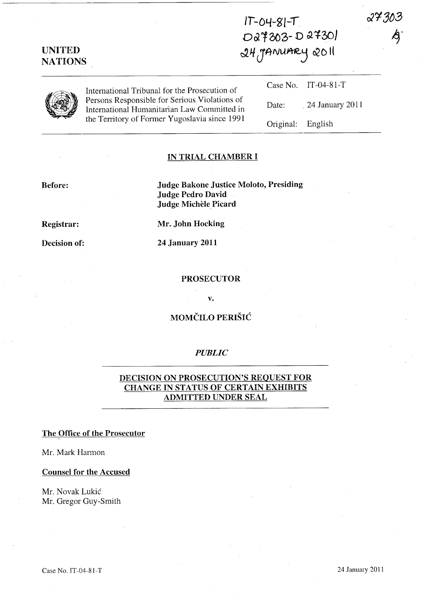$IT-O4-SIT$ D27303-D27301  $24$  *JANUARY* 2011

 $27303$ 

|  | International Tribunal for the Prosecution of<br>Persons Responsible for Serious Violations of<br>International Humanitarian Law Committed in<br>the Territory of Former Yugoslavia since 1991 |                   | Case No. IT-04-81-T   |
|--|------------------------------------------------------------------------------------------------------------------------------------------------------------------------------------------------|-------------------|-----------------------|
|  |                                                                                                                                                                                                |                   | Date: 24 January 2011 |
|  |                                                                                                                                                                                                | Original: English |                       |

## IN TRIAL CHAMBER I

### Before:

UNITED **NATIONS** 

> Judge Bakone Justice Moloto, Presiding Judge Pedro David Judge Michèle Picard

### Registrar:

Decision of:

Mr. John Hocking

24 January 2011

#### PROSECUTOR

v.

## MOMČILO PERIŠIĆ

## *PUBLIC*

# DECISION ON PROSECUTION'S REQUEST FOR CHANGE IN STATUS OF CERTAIN EXHIBITS ADMITTED UNDER SEAL

### The Office of the Prosecutor

Mr. Mark Harmon

#### Counsel for the Accused

Mr. Novak Lukic Mr. Gregor Guy-Smith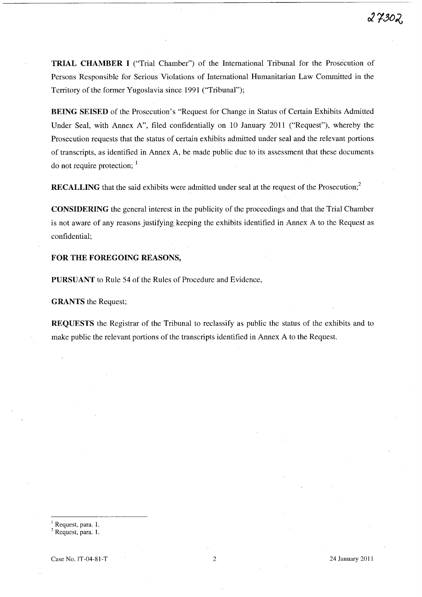**TRIAL CHAMBER I** ("Trial Chamber") of the International Tribunal for the Prosecution of Persons Responsible for Serious Violations of International Humanitarian Law Committed in the Territory of the former Yugoslavia since 1991 ("Tribunal");

**BEING SEISED** of the Prosecution's "Request for Change in Status of Certain Exhibits Admitted Under Seal, with Annex A", filed confidentially on 10 January 2011 ("Request"), whereby the Prosecution requests that the status of certain exhibits admitted under seal and the relevant portions of transcripts, as identified in Annex A, be made public due to its assessment that these documents do not require protection;  $<sup>1</sup>$ </sup>

**RECALLING** that the said exhibits were admitted under seal at the request of the Prosecution;<sup>2</sup>

**CONSIDERING** the general interest in the publicity of the proceedings and that the Trial Chamber is not aware of any reasons justifying keeping the exhibits identified in Annex A to the Request as confidential;

### **FOR THE FOREGOING REASONS,**

**PURSUANT** to Rule 54 of the Rules of Procedure and Evidence,

**GRANTS** the Request;

**REQUESTS** the Registrar of the Tribunal to reclassify as public the status of the exhibits and to make public the relevant portions of the transcripts identified in Annex A to the Request.

<sup>2</sup> Request, para. 1.

 $\frac{1}{1}$  Request, para. 1.